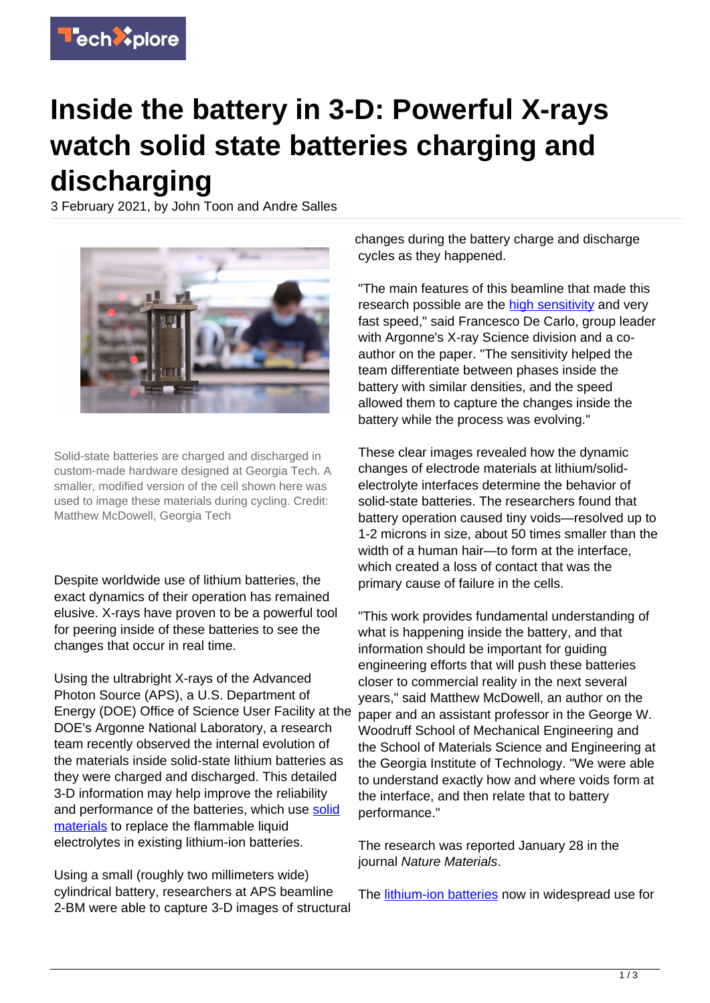

## **Inside the battery in 3-D: Powerful X-rays watch solid state batteries charging and discharging**

3 February 2021, by John Toon and Andre Salles



Solid-state batteries are charged and discharged in custom-made hardware designed at Georgia Tech. A smaller, modified version of the cell shown here was used to image these materials during cycling. Credit: Matthew McDowell, Georgia Tech

Despite worldwide use of lithium batteries, the exact dynamics of their operation has remained elusive. X-rays have proven to be a powerful tool for peering inside of these batteries to see the changes that occur in real time.

Using the ultrabright X-rays of the Advanced Photon Source (APS), a U.S. Department of Energy (DOE) Office of Science User Facility at the DOE's Argonne National Laboratory, a research team recently observed the internal evolution of the materials inside solid-state lithium batteries as they were charged and discharged. This detailed 3-D information may help improve the reliability and performance of the batteries, which use [solid](https://techxplore.com/tags/solid+materials/) [materials](https://techxplore.com/tags/solid+materials/) to replace the flammable liquid electrolytes in existing lithium-ion batteries.

Using a small (roughly two millimeters wide) cylindrical battery, researchers at APS beamline 2-BM were able to capture 3-D images of structural

changes during the battery charge and discharge cycles as they happened.

"The main features of this beamline that made this research possible are the [high sensitivity](https://techxplore.com/tags/high+sensitivity/) and very fast speed," said Francesco De Carlo, group leader with Argonne's X-ray Science division and a coauthor on the paper. "The sensitivity helped the team differentiate between phases inside the battery with similar densities, and the speed allowed them to capture the changes inside the battery while the process was evolving."

These clear images revealed how the dynamic changes of electrode materials at lithium/solidelectrolyte interfaces determine the behavior of solid-state batteries. The researchers found that battery operation caused tiny voids—resolved up to 1-2 microns in size, about 50 times smaller than the width of a human hair—to form at the interface, which created a loss of contact that was the primary cause of failure in the cells.

"This work provides fundamental understanding of what is happening inside the battery, and that information should be important for guiding engineering efforts that will push these batteries closer to commercial reality in the next several years," said Matthew McDowell, an author on the paper and an assistant professor in the George W. Woodruff School of Mechanical Engineering and the School of Materials Science and Engineering at the Georgia Institute of Technology. "We were able to understand exactly how and where voids form at the interface, and then relate that to battery performance."

The research was reported January 28 in the journal Nature Materials.

The [lithium-ion batteries](https://techxplore.com/tags/lithium-ion+batteries/) now in widespread use for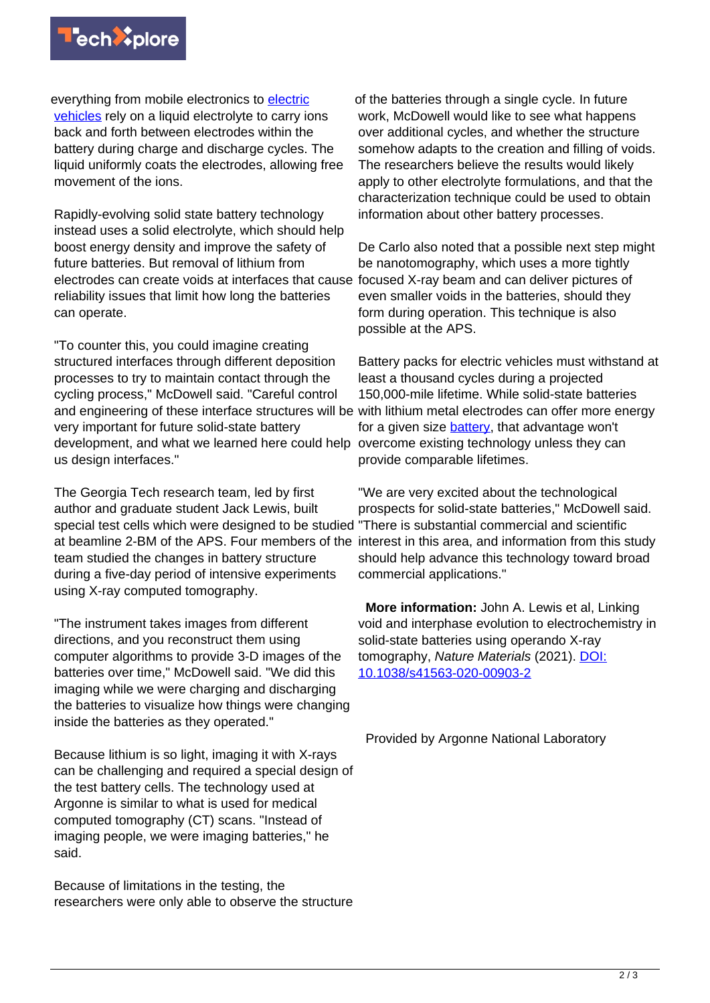

everything from mobile electronics to [electric](https://techxplore.com/tags/electric+vehicles/) [vehicles](https://techxplore.com/tags/electric+vehicles/) rely on a liquid electrolyte to carry ions back and forth between electrodes within the battery during charge and discharge cycles. The liquid uniformly coats the electrodes, allowing free movement of the ions.

Rapidly-evolving solid state battery technology instead uses a solid electrolyte, which should help boost energy density and improve the safety of future batteries. But removal of lithium from electrodes can create voids at interfaces that cause reliability issues that limit how long the batteries can operate.

"To counter this, you could imagine creating structured interfaces through different deposition processes to try to maintain contact through the cycling process," McDowell said. "Careful control and engineering of these interface structures will be with lithium metal electrodes can offer more energy very important for future solid-state battery development, and what we learned here could help us design interfaces."

The Georgia Tech research team, led by first author and graduate student Jack Lewis, built special test cells which were designed to be studied "There is substantial commercial and scientific at beamline 2-BM of the APS. Four members of the interest in this area, and information from this study team studied the changes in battery structure during a five-day period of intensive experiments using X-ray computed tomography.

"The instrument takes images from different directions, and you reconstruct them using computer algorithms to provide 3-D images of the batteries over time," McDowell said. "We did this imaging while we were charging and discharging the batteries to visualize how things were changing inside the batteries as they operated."

Because lithium is so light, imaging it with X-rays can be challenging and required a special design of the test battery cells. The technology used at Argonne is similar to what is used for medical computed tomography (CT) scans. "Instead of imaging people, we were imaging batteries," he said.

Because of limitations in the testing, the researchers were only able to observe the structure

of the batteries through a single cycle. In future work, McDowell would like to see what happens over additional cycles, and whether the structure somehow adapts to the creation and filling of voids. The researchers believe the results would likely apply to other electrolyte formulations, and that the characterization technique could be used to obtain information about other battery processes.

De Carlo also noted that a possible next step might be nanotomography, which uses a more tightly focused X-ray beam and can deliver pictures of even smaller voids in the batteries, should they form during operation. This technique is also possible at the APS.

Battery packs for electric vehicles must withstand at least a thousand cycles during a projected 150,000-mile lifetime. While solid-state batteries for a given size [battery](https://techxplore.com/tags/battery/), that advantage won't overcome existing technology unless they can provide comparable lifetimes.

"We are very excited about the technological prospects for solid-state batteries," McDowell said. should help advance this technology toward broad commercial applications."

 **More information:** John A. Lewis et al, Linking void and interphase evolution to electrochemistry in solid-state batteries using operando X-ray tomography, Nature Materials (2021). [DOI:](http://dx.doi.org/10.1038/s41563-020-00903-2) [10.1038/s41563-020-00903-2](http://dx.doi.org/10.1038/s41563-020-00903-2)

Provided by Argonne National Laboratory